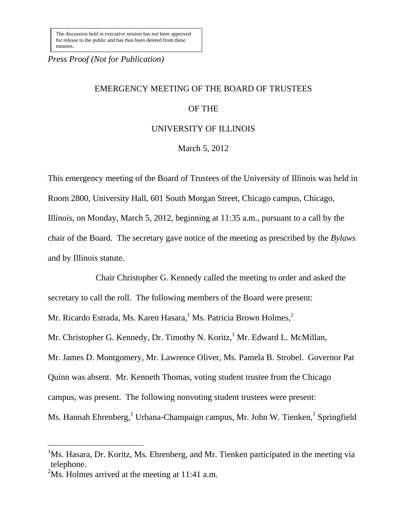*Press Proof (Not for Publication)*

# EMERGENCY MEETING OF THE BOARD OF TRUSTEES

## OF THE

### UNIVERSITY OF ILLINOIS

March 5, 2012

This emergency meeting of the Board of Trustees of the University of Illinois was held in Room 2800, University Hall, 601 South Morgan Street, Chicago campus, Chicago, Illinois, on Monday, March 5, 2012, beginning at 11:35 a.m., pursuant to a call by the chair of the Board. The secretary gave notice of the meeting as prescribed by the *Bylaws*  and by Illinois statute.

Chair Christopher G. Kennedy called the meeting to order and asked the secretary to call the roll. The following members of the Board were present: Mr. Ricardo Estrada, Ms. Karen Hasara,<sup>1</sup> Ms. Patricia Brown Holmes,<sup>2</sup> Mr. Christopher G. Kennedy, Dr. Timothy N. Koritz, <sup>1</sup> Mr. Edward L. McMillan, Mr. James D. Montgomery, Mr. Lawrence Oliver, Ms. Pamela B. Strobel. Governor Pat Quinn was absent. Mr. Kenneth Thomas, voting student trustee from the Chicago campus, was present. The following nonvoting student trustees were present: Ms. Hannah Ehrenberg,<sup>1</sup> Urbana-Champaign campus, Mr. John W. Tienken,<sup>1</sup> Springfield

 $\overline{a}$ 

<sup>&</sup>lt;sup>1</sup>Ms. Hasara, Dr. Koritz, Ms. Ehrenberg, and Mr. Tienken participated in the meeting via telephone.

<sup>&</sup>lt;sup>2</sup>Ms. Holmes arrived at the meeting at 11:41 a.m.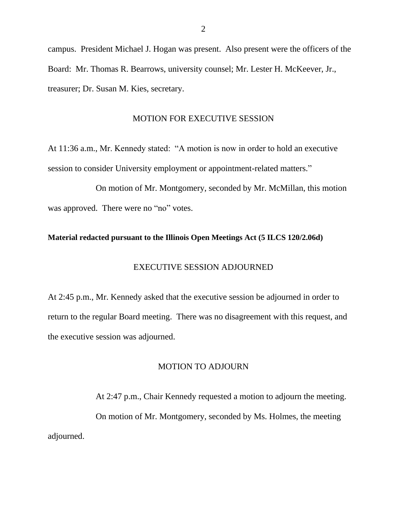campus. President Michael J. Hogan was present. Also present were the officers of the Board: Mr. Thomas R. Bearrows, university counsel; Mr. Lester H. McKeever, Jr., treasurer; Dr. Susan M. Kies, secretary.

#### MOTION FOR EXECUTIVE SESSION

At 11:36 a.m., Mr. Kennedy stated: "A motion is now in order to hold an executive session to consider University employment or appointment-related matters."

On motion of Mr. Montgomery, seconded by Mr. McMillan, this motion was approved. There were no "no" votes.

#### **Material redacted pursuant to the Illinois Open Meetings Act (5 ILCS 120/2.06d)**

## EXECUTIVE SESSION ADJOURNED

At 2:45 p.m., Mr. Kennedy asked that the executive session be adjourned in order to return to the regular Board meeting. There was no disagreement with this request, and the executive session was adjourned.

## MOTION TO ADJOURN

At 2:47 p.m., Chair Kennedy requested a motion to adjourn the meeting. On motion of Mr. Montgomery, seconded by Ms. Holmes, the meeting adjourned.